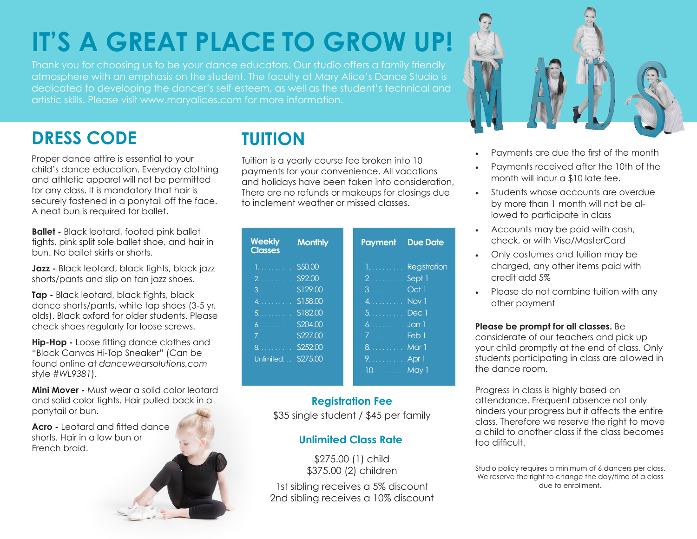# **IT'S A GREAT PLACE TO GROW UP!**

Thank you for choosing us to be your dance educators. Our studio offers a family friendly atmosphere with an emphasis on the student. The faculty at Mary Alice's Dance Studio is dedicated to developing the dancer's self-esteem, as well as the student's technical and artistic skills. Please visit www.maryalices.com for more information.

## **DRESS CODE TUITION**

Proper dance attire is essential to your child's dance education. Everyday clothing and athletic apparel will not be permitted for any class. It is mandatory that hair is securely fastened in a ponytail off the face. A neat bun is required for ballet.

**Ballet -** Black leotard, footed pink ballet tights, pink split sole ballet shoe, and hair in bun. No ballet skirts or shorts.

**Jazz -** Black leotard, black tights, black jazz shorts/pants and slip on tan jazz shoes.

**Tap -** Black leotard, black tights, black dance shorts/pants, white tap shoes (3-5 yr. olds). Black oxford for older students. Please check shoes regularly for loose screws.

**Hip-Hop -** Loose fitting dance clothes and "Black Canvas Hi-Top Sneaker" (Can be found online at *dancewearsolutions.com* style *#WL9381*).

**Mini Mover -** Must wear a solid color leotard and solid color tights. Hair pulled back in a ponytail or bun.

**Acro -** Leotard and fitted dance shorts. Hair in a low bun or French braid.

Tuition is a yearly course fee broken into 10 payments for your convenience. All vacations and holidays have been taken into consideration, There are no refunds or makeups for closings due to inclement weather or missed classes.

| <b>Weekly</b><br><b>Classes</b> | <b>Monthly</b> | <b>Payment</b>          | <b>Due Date</b>  |
|---------------------------------|----------------|-------------------------|------------------|
| 1.                              | \$50.00        | 1.                      | Registration     |
| 2.                              | \$92.00        | <u>2. .</u>             | Sept 1           |
| 3.                              | \$129.00       | $3.$ Oct 1              |                  |
|                                 |                | 4. Nov 1                |                  |
| 5.1.1.1.1.1.1                   | \$182.00       | $5.$ Dec 1              |                  |
| 6.                              | \$204.00       | 6.                      | Jan <sub>1</sub> |
| 7.                              | \$227.00       | $7.1.1.1.1.1.1.1$ Feb 1 |                  |
| 8.                              | \$252.00       | 8. Mar 1                |                  |
| Unlimited                       | \$275.00       | 9. Apr 1                |                  |
|                                 |                | 10. May 1               |                  |

#### \$35 single student / \$45 per family **Registration Fee**

#### **Unlimited Class Rate**

\$275.00 (1) child \$375.00 (2) children

1st sibling receives a 5% discount 2nd sibling receives a 10% discount



- Payments are due the first of the month
- Payments received after the 10th of the month will incur a \$10 late fee.
- Students whose accounts are overdue by more than 1 month will not be allowed to participate in class
- Accounts may be paid with cash, check, or with Visa/MasterCard
- Only costumes and tuition may be charged, any other items paid with credit add 5%
- Please do not combine tuition with any other payment

#### **Please be prompt for all classes.** Be

considerate of our teachers and pick up your child promptly at the end of class. Only students participating in class are allowed in the dance room.

Progress in class is highly based on attendance. Frequent absence not only hinders your progress but it affects the entire class. Therefore we reserve the right to move a child to another class if the class becomes too difficult.

Studio policy requires a minimum of 6 dancers per class. We reserve the right to change the day/time of a class due to enrollment.